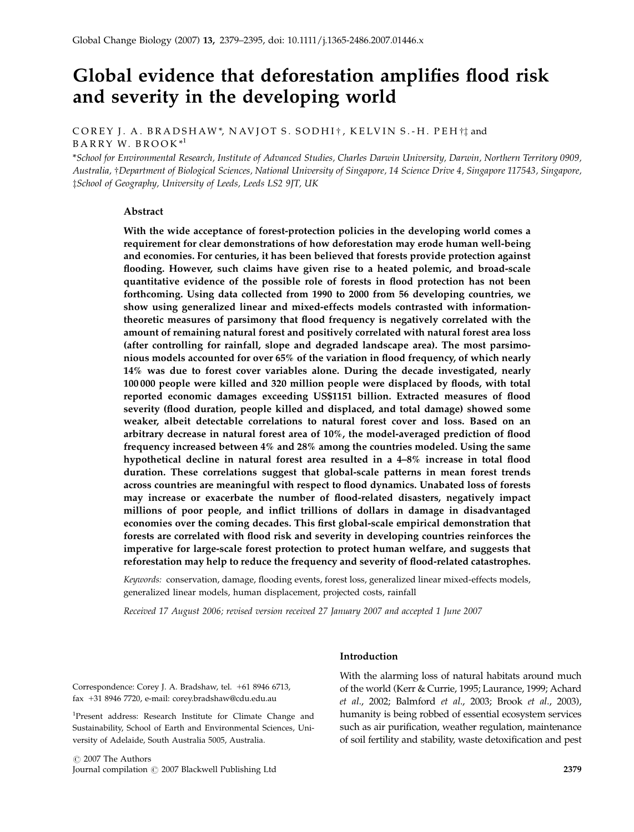# Global evidence that deforestation amplifies flood risk and severity in the developing world

COREY J. A. BRADSHAW\*, NAVJOT S. SODHI $\dagger$ , KELVIN S.-H. PEH $\dagger$  and BARRY W. BROOK \* 1

\*School for Environmental Research, Institute of Advanced Studies, Charles Darwin University, Darwin, Northern Territory 0909, Australia, †Department of Biological Sciences, National University of Singapore, 14 Science Drive 4, Singapore 117543, Singapore,  $\pm$ School of Geography, University of Leeds, Leeds LS2 9JT, UK

#### Abstract

With the wide acceptance of forest-protection policies in the developing world comes a requirement for clear demonstrations of how deforestation may erode human well-being and economies. For centuries, it has been believed that forests provide protection against flooding. However, such claims have given rise to a heated polemic, and broad-scale quantitative evidence of the possible role of forests in flood protection has not been forthcoming. Using data collected from 1990 to 2000 from 56 developing countries, we show using generalized linear and mixed-effects models contrasted with informationtheoretic measures of parsimony that flood frequency is negatively correlated with the amount of remaining natural forest and positively correlated with natural forest area loss (after controlling for rainfall, slope and degraded landscape area). The most parsimonious models accounted for over 65% of the variation in flood frequency, of which nearly 14% was due to forest cover variables alone. During the decade investigated, nearly 100 000 people were killed and 320 million people were displaced by floods, with total reported economic damages exceeding US\$1151 billion. Extracted measures of flood severity (flood duration, people killed and displaced, and total damage) showed some weaker, albeit detectable correlations to natural forest cover and loss. Based on an arbitrary decrease in natural forest area of 10%, the model-averaged prediction of flood frequency increased between 4% and 28% among the countries modeled. Using the same hypothetical decline in natural forest area resulted in a 4–8% increase in total flood duration. These correlations suggest that global-scale patterns in mean forest trends across countries are meaningful with respect to flood dynamics. Unabated loss of forests may increase or exacerbate the number of flood-related disasters, negatively impact millions of poor people, and inflict trillions of dollars in damage in disadvantaged economies over the coming decades. This first global-scale empirical demonstration that forests are correlated with flood risk and severity in developing countries reinforces the imperative for large-scale forest protection to protect human welfare, and suggests that reforestation may help to reduce the frequency and severity of flood-related catastrophes.

Keywords: conservation, damage, flooding events, forest loss, generalized linear mixed-effects models, generalized linear models, human displacement, projected costs, rainfall

Received 17 August 2006; revised version received 27 January 2007 and accepted 1 June 2007

#### Introduction

Correspondence: Corey J. A. Bradshaw, tel. +61 8946 6713, fax 131 8946 7720, e-mail: corey.bradshaw@cdu.edu.au

<sup>1</sup>Present address: Research Institute for Climate Change and Sustainability, School of Earth and Environmental Sciences, University of Adelaide, South Australia 5005, Australia.

With the alarming loss of natural habitats around much of the world (Kerr & Currie, 1995; Laurance, 1999; Achard et al., 2002; Balmford et al., 2003; Brook et al., 2003), humanity is being robbed of essential ecosystem services such as air purification, weather regulation, maintenance of soil fertility and stability, waste detoxification and pest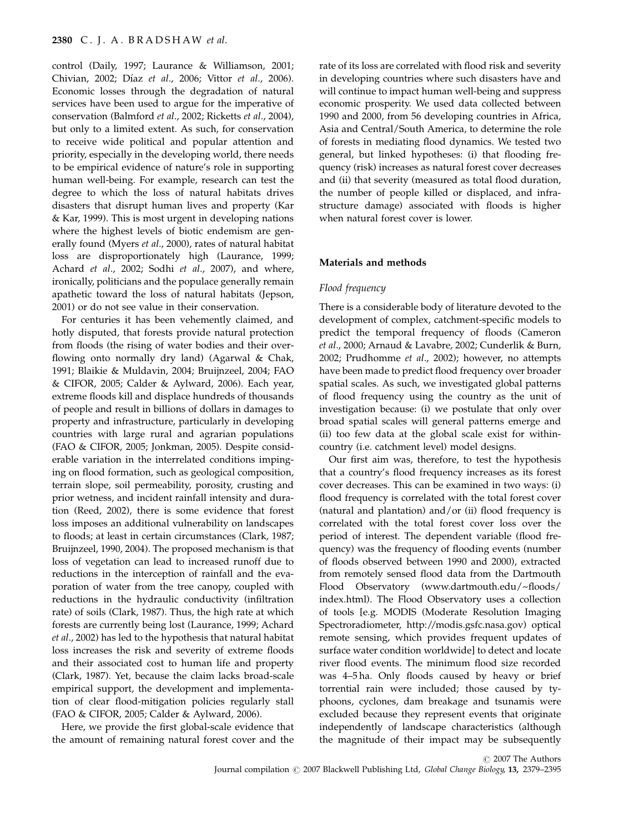control (Daily, 1997; Laurance & Williamson, 2001; Chivian, 2002; Díaz et al., 2006; Vittor et al., 2006). Economic losses through the degradation of natural services have been used to argue for the imperative of conservation (Balmford et al., 2002; Ricketts et al., 2004), but only to a limited extent. As such, for conservation to receive wide political and popular attention and priority, especially in the developing world, there needs to be empirical evidence of nature's role in supporting human well-being. For example, research can test the degree to which the loss of natural habitats drives disasters that disrupt human lives and property (Kar & Kar, 1999). This is most urgent in developing nations where the highest levels of biotic endemism are generally found (Myers et al., 2000), rates of natural habitat loss are disproportionately high (Laurance, 1999; Achard et al., 2002; Sodhi et al., 2007), and where, ironically, politicians and the populace generally remain apathetic toward the loss of natural habitats (Jepson, 2001) or do not see value in their conservation.

For centuries it has been vehemently claimed, and hotly disputed, that forests provide natural protection from floods (the rising of water bodies and their overflowing onto normally dry land) (Agarwal & Chak, 1991; Blaikie & Muldavin, 2004; Bruijnzeel, 2004; FAO & CIFOR, 2005; Calder & Aylward, 2006). Each year, extreme floods kill and displace hundreds of thousands of people and result in billions of dollars in damages to property and infrastructure, particularly in developing countries with large rural and agrarian populations (FAO & CIFOR, 2005; Jonkman, 2005). Despite considerable variation in the interrelated conditions impinging on flood formation, such as geological composition, terrain slope, soil permeability, porosity, crusting and prior wetness, and incident rainfall intensity and duration (Reed, 2002), there is some evidence that forest loss imposes an additional vulnerability on landscapes to floods; at least in certain circumstances (Clark, 1987; Bruijnzeel, 1990, 2004). The proposed mechanism is that loss of vegetation can lead to increased runoff due to reductions in the interception of rainfall and the evaporation of water from the tree canopy, coupled with reductions in the hydraulic conductivity (infiltration rate) of soils (Clark, 1987). Thus, the high rate at which forests are currently being lost (Laurance, 1999; Achard et al., 2002) has led to the hypothesis that natural habitat loss increases the risk and severity of extreme floods and their associated cost to human life and property (Clark, 1987). Yet, because the claim lacks broad-scale empirical support, the development and implementation of clear flood-mitigation policies regularly stall (FAO & CIFOR, 2005; Calder & Aylward, 2006).

Here, we provide the first global-scale evidence that the amount of remaining natural forest cover and the rate of its loss are correlated with flood risk and severity in developing countries where such disasters have and will continue to impact human well-being and suppress economic prosperity. We used data collected between 1990 and 2000, from 56 developing countries in Africa, Asia and Central/South America, to determine the role of forests in mediating flood dynamics. We tested two general, but linked hypotheses: (i) that flooding frequency (risk) increases as natural forest cover decreases and (ii) that severity (measured as total flood duration, the number of people killed or displaced, and infrastructure damage) associated with floods is higher when natural forest cover is lower.

#### Materials and methods

#### Flood frequency

There is a considerable body of literature devoted to the development of complex, catchment-specific models to predict the temporal frequency of floods (Cameron et al., 2000; Arnaud & Lavabre, 2002; Cunderlik & Burn, 2002; Prudhomme et al., 2002); however, no attempts have been made to predict flood frequency over broader spatial scales. As such, we investigated global patterns of flood frequency using the country as the unit of investigation because: (i) we postulate that only over broad spatial scales will general patterns emerge and (ii) too few data at the global scale exist for withincountry (i.e. catchment level) model designs.

Our first aim was, therefore, to test the hypothesis that a country's flood frequency increases as its forest cover decreases. This can be examined in two ways: (i) flood frequency is correlated with the total forest cover (natural and plantation) and/or (ii) flood frequency is correlated with the total forest cover loss over the period of interest. The dependent variable (flood frequency) was the frequency of flooding events (number of floods observed between 1990 and 2000), extracted from remotely sensed flood data from the Dartmouth Flood Observatory (www.dartmouth.edu/~floods/ index.html). The Flood Observatory uses a collection of tools [e.g. MODIS (Moderate Resolution Imaging Spectroradiometer, http://modis.gsfc.nasa.gov) optical remote sensing, which provides frequent updates of surface water condition worldwide] to detect and locate river flood events. The minimum flood size recorded was 4–5 ha. Only floods caused by heavy or brief torrential rain were included; those caused by typhoons, cyclones, dam breakage and tsunamis were excluded because they represent events that originate independently of landscape characteristics (although the magnitude of their impact may be subsequently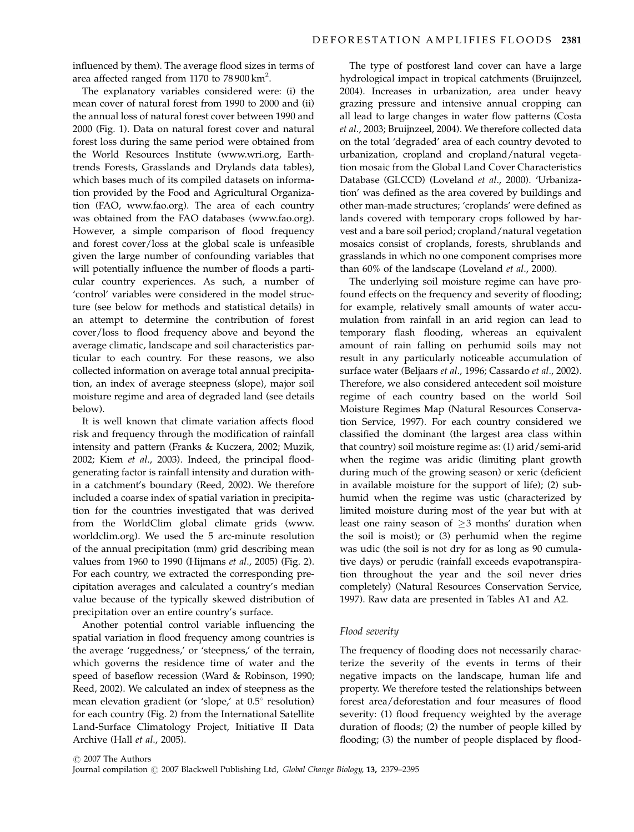influenced by them). The average flood sizes in terms of area affected ranged from  $1170$  to  $78900 \mathrm{km}^2$ .

The explanatory variables considered were: (i) the mean cover of natural forest from 1990 to 2000 and (ii) the annual loss of natural forest cover between 1990 and 2000 (Fig. 1). Data on natural forest cover and natural forest loss during the same period were obtained from the World Resources Institute (www.wri.org, Earthtrends Forests, Grasslands and Drylands data tables), which bases much of its compiled datasets on information provided by the Food and Agricultural Organization (FAO, www.fao.org). The area of each country was obtained from the FAO databases (www.fao.org). However, a simple comparison of flood frequency and forest cover/loss at the global scale is unfeasible given the large number of confounding variables that will potentially influence the number of floods a particular country experiences. As such, a number of 'control' variables were considered in the model structure (see below for methods and statistical details) in an attempt to determine the contribution of forest cover/loss to flood frequency above and beyond the average climatic, landscape and soil characteristics particular to each country. For these reasons, we also collected information on average total annual precipitation, an index of average steepness (slope), major soil moisture regime and area of degraded land (see details below).

It is well known that climate variation affects flood risk and frequency through the modification of rainfall intensity and pattern (Franks & Kuczera, 2002; Muzik, 2002; Kiem et al., 2003). Indeed, the principal floodgenerating factor is rainfall intensity and duration within a catchment's boundary (Reed, 2002). We therefore included a coarse index of spatial variation in precipitation for the countries investigated that was derived from the WorldClim global climate grids (www. worldclim.org). We used the 5 arc-minute resolution of the annual precipitation (mm) grid describing mean values from 1960 to 1990 (Hijmans et al., 2005) (Fig. 2). For each country, we extracted the corresponding precipitation averages and calculated a country's median value because of the typically skewed distribution of precipitation over an entire country's surface.

Another potential control variable influencing the spatial variation in flood frequency among countries is the average 'ruggedness,' or 'steepness,' of the terrain, which governs the residence time of water and the speed of baseflow recession (Ward & Robinson, 1990; Reed, 2002). We calculated an index of steepness as the mean elevation gradient (or 'slope,' at  $0.5^\circ$  resolution) for each country (Fig. 2) from the International Satellite Land-Surface Climatology Project, Initiative II Data Archive (Hall et al., 2005).

The type of postforest land cover can have a large hydrological impact in tropical catchments (Bruijnzeel, 2004). Increases in urbanization, area under heavy grazing pressure and intensive annual cropping can all lead to large changes in water flow patterns (Costa et al., 2003; Bruijnzeel, 2004). We therefore collected data on the total 'degraded' area of each country devoted to urbanization, cropland and cropland/natural vegetation mosaic from the Global Land Cover Characteristics Database (GLCCD) (Loveland et al., 2000). 'Urbanization' was defined as the area covered by buildings and other man-made structures; 'croplands' were defined as lands covered with temporary crops followed by harvest and a bare soil period; cropland/natural vegetation mosaics consist of croplands, forests, shrublands and grasslands in which no one component comprises more than 60% of the landscape (Loveland et al., 2000).

The underlying soil moisture regime can have profound effects on the frequency and severity of flooding; for example, relatively small amounts of water accumulation from rainfall in an arid region can lead to temporary flash flooding, whereas an equivalent amount of rain falling on perhumid soils may not result in any particularly noticeable accumulation of surface water (Beljaars et al., 1996; Cassardo et al., 2002). Therefore, we also considered antecedent soil moisture regime of each country based on the world Soil Moisture Regimes Map (Natural Resources Conservation Service, 1997). For each country considered we classified the dominant (the largest area class within that country) soil moisture regime as: (1) arid/semi-arid when the regime was aridic (limiting plant growth during much of the growing season) or xeric (deficient in available moisture for the support of life); (2) subhumid when the regime was ustic (characterized by limited moisture during most of the year but with at least one rainy season of  $>3$  months' duration when the soil is moist); or (3) perhumid when the regime was udic (the soil is not dry for as long as 90 cumulative days) or perudic (rainfall exceeds evapotranspiration throughout the year and the soil never dries completely) (Natural Resources Conservation Service, 1997). Raw data are presented in Tables A1 and A2.

#### Flood severity

The frequency of flooding does not necessarily characterize the severity of the events in terms of their negative impacts on the landscape, human life and property. We therefore tested the relationships between forest area/deforestation and four measures of flood severity: (1) flood frequency weighted by the average duration of floods; (2) the number of people killed by flooding; (3) the number of people displaced by flood-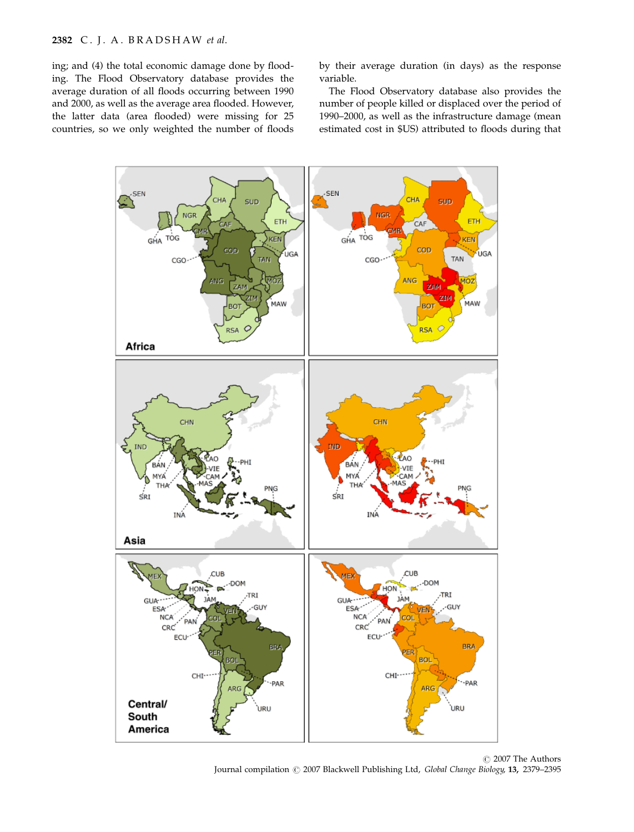# 2382 C. J. A. BRADSHAW et al.

ing; and (4) the total economic damage done by flooding. The Flood Observatory database provides the average duration of all floods occurring between 1990 and 2000, as well as the average area flooded. However, the latter data (area flooded) were missing for 25 countries, so we only weighted the number of floods

by their average duration (in days) as the response variable.

The Flood Observatory database also provides the number of people killed or displaced over the period of 1990–2000, as well as the infrastructure damage (mean estimated cost in \$US) attributed to floods during that



 $\odot$  2007 The Authors Journal compilation  $\odot$  2007 Blackwell Publishing Ltd, Global Change Biology, 13, 2379–2395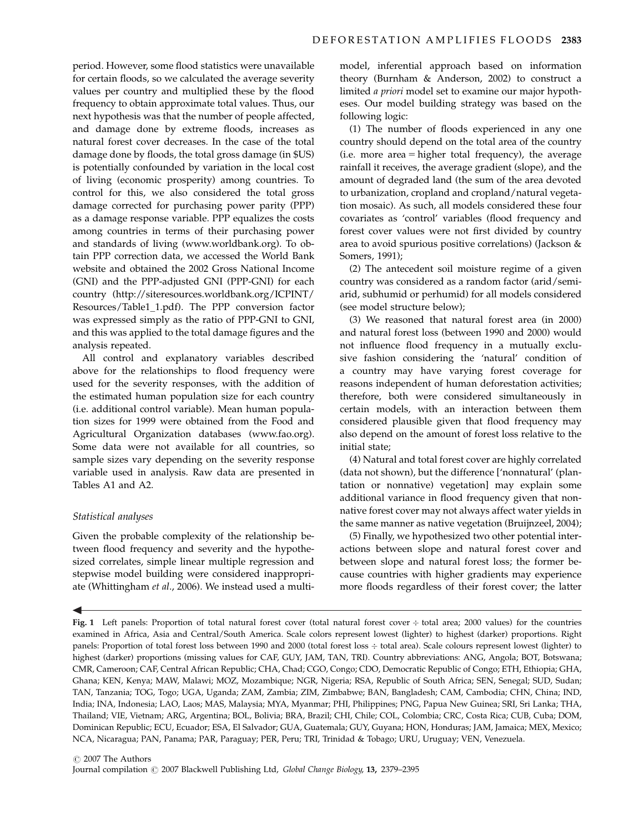period. However, some flood statistics were unavailable for certain floods, so we calculated the average severity values per country and multiplied these by the flood frequency to obtain approximate total values. Thus, our next hypothesis was that the number of people affected, and damage done by extreme floods, increases as natural forest cover decreases. In the case of the total damage done by floods, the total gross damage (in \$US) is potentially confounded by variation in the local cost of living (economic prosperity) among countries. To control for this, we also considered the total gross damage corrected for purchasing power parity (PPP) as a damage response variable. PPP equalizes the costs among countries in terms of their purchasing power and standards of living (www.worldbank.org). To obtain PPP correction data, we accessed the World Bank website and obtained the 2002 Gross National Income (GNI) and the PPP-adjusted GNI (PPP-GNI) for each country (http://siteresources.worldbank.org/ICPINT/ Resources/Table1\_1.pdf). The PPP conversion factor was expressed simply as the ratio of PPP-GNI to GNI, and this was applied to the total damage figures and the analysis repeated.

All control and explanatory variables described above for the relationships to flood frequency were used for the severity responses, with the addition of the estimated human population size for each country (i.e. additional control variable). Mean human population sizes for 1999 were obtained from the Food and Agricultural Organization databases (www.fao.org). Some data were not available for all countries, so sample sizes vary depending on the severity response variable used in analysis. Raw data are presented in Tables A1 and A2.

## Statistical analyses

Given the probable complexity of the relationship between flood frequency and severity and the hypothesized correlates, simple linear multiple regression and stepwise model building were considered inappropriate (Whittingham et al., 2006). We instead used a multimodel, inferential approach based on information theory (Burnham & Anderson, 2002) to construct a limited a priori model set to examine our major hypotheses. Our model building strategy was based on the following logic:

(1) The number of floods experienced in any one country should depend on the total area of the country  $(i.e. more area = higher total frequency)$ , the average rainfall it receives, the average gradient (slope), and the amount of degraded land (the sum of the area devoted to urbanization, cropland and cropland/natural vegetation mosaic). As such, all models considered these four covariates as 'control' variables (flood frequency and forest cover values were not first divided by country area to avoid spurious positive correlations) (Jackson & Somers, 1991);

(2) The antecedent soil moisture regime of a given country was considered as a random factor (arid/semiarid, subhumid or perhumid) for all models considered (see model structure below);

(3) We reasoned that natural forest area (in 2000) and natural forest loss (between 1990 and 2000) would not influence flood frequency in a mutually exclusive fashion considering the 'natural' condition of a country may have varying forest coverage for reasons independent of human deforestation activities; therefore, both were considered simultaneously in certain models, with an interaction between them considered plausible given that flood frequency may also depend on the amount of forest loss relative to the initial state;

(4) Natural and total forest cover are highly correlated (data not shown), but the difference ['nonnatural' (plantation or nonnative) vegetation] may explain some additional variance in flood frequency given that nonnative forest cover may not always affect water yields in the same manner as native vegetation (Bruijnzeel, 2004);

(5) Finally, we hypothesized two other potential interactions between slope and natural forest cover and between slope and natural forest loss; the former because countries with higher gradients may experience more floods regardless of their forest cover; the latter

Fig. 1 Left panels: Proportion of total natural forest cover (total natural forest cover - total area; 2000 values) for the countries examined in Africa, Asia and Central/South America. Scale colors represent lowest (lighter) to highest (darker) proportions. Right panels: Proportion of total forest loss between 1990 and 2000 (total forest loss - total area). Scale colours represent lowest (lighter) to highest (darker) proportions (missing values for CAF, GUY, JAM, TAN, TRI). Country abbreviations: ANG, Angola; BOT, Botswana; CMR, Cameroon; CAF, Central African Republic; CHA, Chad; CGO, Congo; CDO, Democratic Republic of Congo; ETH, Ethiopia; GHA, Ghana; KEN, Kenya; MAW, Malawi; MOZ, Mozambique; NGR, Nigeria; RSA, Republic of South Africa; SEN, Senegal; SUD, Sudan; TAN, Tanzania; TOG, Togo; UGA, Uganda; ZAM, Zambia; ZIM, Zimbabwe; BAN, Bangladesh; CAM, Cambodia; CHN, China; IND, India; INA, Indonesia; LAO, Laos; MAS, Malaysia; MYA, Myanmar; PHI, Philippines; PNG, Papua New Guinea; SRI, Sri Lanka; THA, Thailand; VIE, Vietnam; ARG, Argentina; BOL, Bolivia; BRA, Brazil; CHI, Chile; COL, Colombia; CRC, Costa Rica; CUB, Cuba; DOM, Dominican Republic; ECU, Ecuador; ESA, El Salvador; GUA, Guatemala; GUY, Guyana; HON, Honduras; JAM, Jamaica; MEX, Mexico; NCA, Nicaragua; PAN, Panama; PAR, Paraguay; PER, Peru; TRI, Trinidad & Tobago; URU, Uruguay; VEN, Venezuela.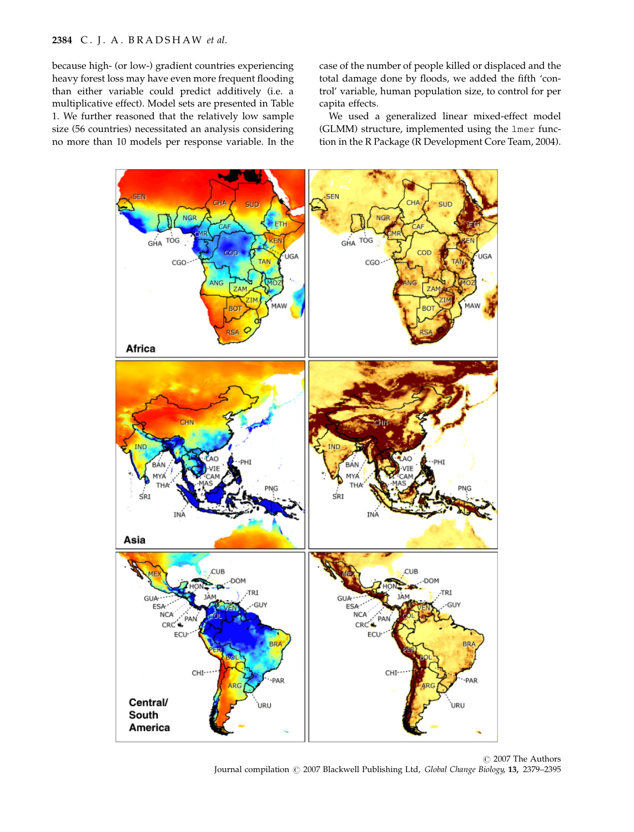# 2384 C. J. A. BRADSHAW et al.

because high- (or low-) gradient countries experiencing heavy forest loss may have even more frequent flooding than either variable could predict additively (i.e. a multiplicative effect). Model sets are presented in Table 1. We further reasoned that the relatively low sample size (56 countries) necessitated an analysis considering no more than 10 models per response variable. In the

case of the number of people killed or displaced and the total damage done by floods, we added the fifth 'control' variable, human population size, to control for per capita effects.

We used a generalized linear mixed-effect model (GLMM) structure, implemented using the lmer function in the R Package (R Development Core Team, 2004).



 $\odot$  2007 The Authors Journal compilation  $\odot$  2007 Blackwell Publishing Ltd, Global Change Biology, 13, 2379–2395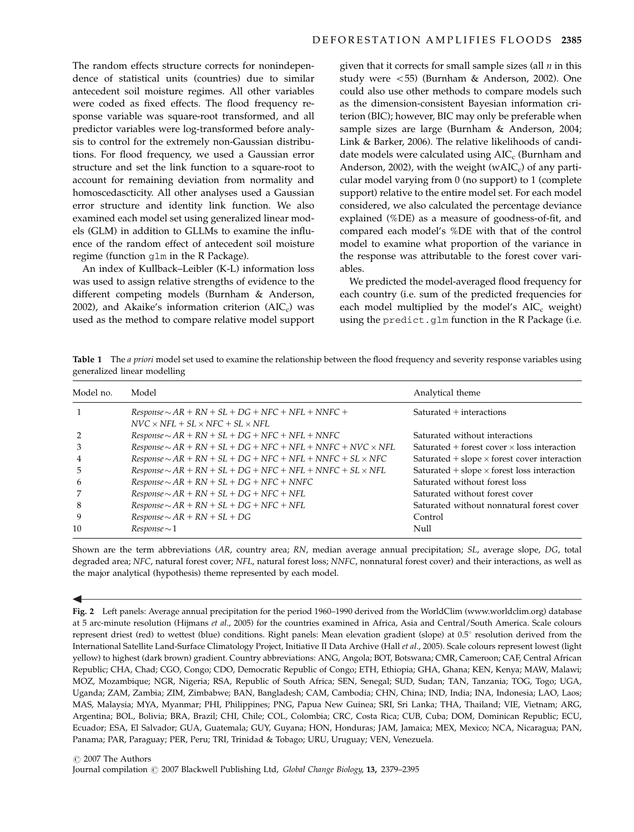The random effects structure corrects for nonindependence of statistical units (countries) due to similar antecedent soil moisture regimes. All other variables were coded as fixed effects. The flood frequency response variable was square-root transformed, and all predictor variables were log-transformed before analysis to control for the extremely non-Gaussian distributions. For flood frequency, we used a Gaussian error structure and set the link function to a square-root to account for remaining deviation from normality and homoscedascticity. All other analyses used a Gaussian error structure and identity link function. We also examined each model set using generalized linear models (GLM) in addition to GLLMs to examine the influence of the random effect of antecedent soil moisture regime (function glm in the R Package).

An index of Kullback–Leibler (K-L) information loss was used to assign relative strengths of evidence to the different competing models (Burnham & Anderson, 2002), and Akaike's information criterion  $(AIC<sub>c</sub>)$  was used as the method to compare relative model support

given that it corrects for small sample sizes (all  $n$  in this study were  $\langle 55 \rangle$  (Burnham & Anderson, 2002). One could also use other methods to compare models such as the dimension-consistent Bayesian information criterion (BIC); however, BIC may only be preferable when sample sizes are large (Burnham & Anderson, 2004; Link & Barker, 2006). The relative likelihoods of candidate models were calculated using  $AIC_c$  (Burnham and Anderson, 2002), with the weight (wAIC<sub>c</sub>) of any particular model varying from 0 (no support) to 1 (complete support) relative to the entire model set. For each model considered, we also calculated the percentage deviance explained (%DE) as a measure of goodness-of-fit, and compared each model's %DE with that of the control model to examine what proportion of the variance in the response was attributable to the forest cover variables.

We predicted the model-averaged flood frequency for each country (i.e. sum of the predicted frequencies for each model multiplied by the model's  $AIC_c$  weight) using the predict.glm function in the R Package (i.e.

Table 1 The a priori model set used to examine the relationship between the flood frequency and severity response variables using generalized linear modelling

| Model no.      | Model                                                                                                      | Analytical theme                                      |
|----------------|------------------------------------------------------------------------------------------------------------|-------------------------------------------------------|
|                | $Response \sim AR + RN + SL + DG + NFC + NFL + NNFC +$<br>$NVC \times NFL + SL \times NFC + SL \times NFL$ | Saturated $+$ interactions                            |
| $\overline{2}$ | $Response \sim AR + RN + SL + DG + NFC + NFL + NNFC$                                                       | Saturated without interactions                        |
| 3              | $Response \sim AR + RN + SL + DG + NFC + NFL + NNFC + NVC \times NFL$                                      | Saturated + forest cover $\times$ loss interaction    |
| $\overline{4}$ | $Response \sim AR + RN + SL + DG + NFC + NFL + NNFC + SL \times NFC$                                       | Saturated $+$ slope $\times$ forest cover interaction |
| 5              | $Response \sim AR + RN + SL + DG + NFC + NFL + NNFC + SL \times NFL$                                       | Saturated $+$ slope $\times$ forest loss interaction  |
| 6              | $Response \sim AR + RN + SL + DG + NFC + NNFC$                                                             | Saturated without forest loss                         |
|                | $Response \sim AR + RN + SL + DG + NFC + NFL$                                                              | Saturated without forest cover                        |
| 8              | $Response \sim AR + RN + SL + DG + NFC + NFL$                                                              | Saturated without nonnatural forest cover             |
| 9              | $Response \sim AR + RN + SL + DG$                                                                          | Control                                               |
| 10             | $Response \sim 1$                                                                                          | Null                                                  |

Shown are the term abbreviations (AR, country area; RN, median average annual precipitation; SL, average slope, DG, total degraded area; NFC, natural forest cover; NFL, natural forest loss; NNFC, nonnatural forest cover) and their interactions, as well as the major analytical (hypothesis) theme represented by each model.

Fig. 2 Left panels: Average annual precipitation for the period 1960–1990 derived from the WorldClim (www.worldclim.org) database at 5 arc-minute resolution (Hijmans et al., 2005) for the countries examined in Africa, Asia and Central/South America. Scale colours represent driest (red) to wettest (blue) conditions. Right panels: Mean elevation gradient (slope) at 0.5° resolution derived from the International Satellite Land-Surface Climatology Project, Initiative II Data Archive (Hall et al., 2005). Scale colours represent lowest (light yellow) to highest (dark brown) gradient. Country abbreviations: ANG, Angola; BOT, Botswana; CMR, Cameroon; CAF, Central African Republic; CHA, Chad; CGO, Congo; CDO, Democratic Republic of Congo; ETH, Ethiopia; GHA, Ghana; KEN, Kenya; MAW, Malawi; MOZ, Mozambique; NGR, Nigeria; RSA, Republic of South Africa; SEN, Senegal; SUD, Sudan; TAN, Tanzania; TOG, Togo; UGA, Uganda; ZAM, Zambia; ZIM, Zimbabwe; BAN, Bangladesh; CAM, Cambodia; CHN, China; IND, India; INA, Indonesia; LAO, Laos; MAS, Malaysia; MYA, Myanmar; PHI, Philippines; PNG, Papua New Guinea; SRI, Sri Lanka; THA, Thailand; VIE, Vietnam; ARG, Argentina; BOL, Bolivia; BRA, Brazil; CHI, Chile; COL, Colombia; CRC, Costa Rica; CUB, Cuba; DOM, Dominican Republic; ECU, Ecuador; ESA, El Salvador; GUA, Guatemala; GUY, Guyana; HON, Honduras; JAM, Jamaica; MEX, Mexico; NCA, Nicaragua; PAN, Panama; PAR, Paraguay; PER, Peru; TRI, Trinidad & Tobago; URU, Uruguay; VEN, Venezuela.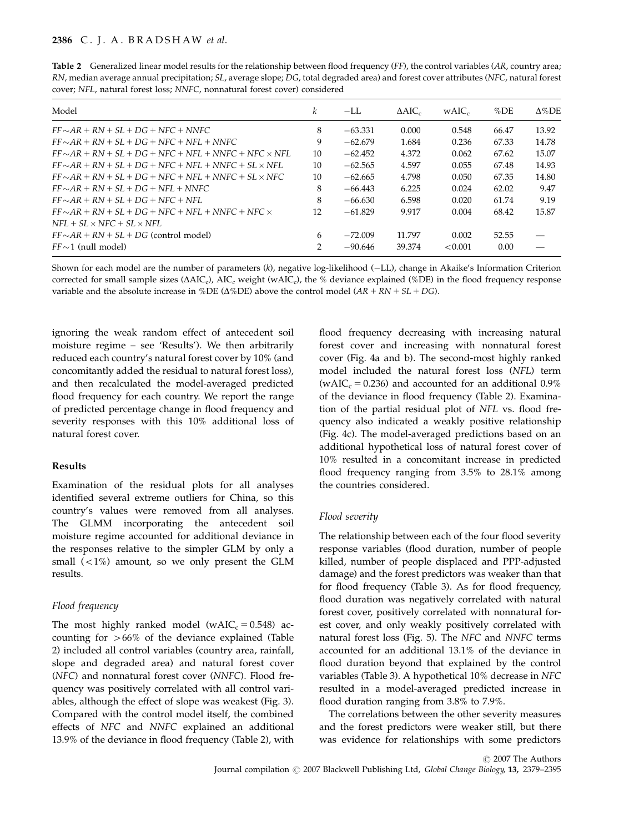| Table 2 Generalized linear model results for the relationship between flood frequency (FF), the control variables (AR, country area;  |
|---------------------------------------------------------------------------------------------------------------------------------------|
| RN, median average annual precipitation; SL, average slope; DG, total degraded area) and forest cover attributes (NFC, natural forest |
| cover: NFL, natural forest loss: NNFC, nonnatural forest cover) considered                                                            |

| Model                                                           | k  | $-LL$     | $\Delta AIC_c$ | $WAIC_c$ | %DE   | $\Lambda\%$ DE |
|-----------------------------------------------------------------|----|-----------|----------------|----------|-------|----------------|
| $FF \sim AR + RN + SL + DG + NFC + NNFC$                        | 8  | $-63.331$ | 0.000          | 0.548    | 66.47 | 13.92          |
| $FF \sim AR + RN + SI + DG + NFC + NFI + NNFC$                  | 9  | $-62.679$ | 1.684          | 0.236    | 67.33 | 14.78          |
| $FF \sim AR + RN + SI + DG + NFC + NFI + NNFC + NFC \times NFI$ | 10 | $-62.452$ | 4.372          | 0.062    | 67.62 | 15.07          |
| $FF \sim AR + RN + SI + DG + NFC + NFI + NNFC + SI \times NFI$  | 10 | $-62.565$ | 4.597          | 0.055    | 67.48 | 14.93          |
| $FE \sim AR + RN + SI + DG + NFC + NFI + NNFC + SL \times NFC$  | 10 | $-62.665$ | 4.798          | 0.050    | 67.35 | 14.80          |
| $FF \sim AR + RN + SI + DG + NFI + NNFC$                        | 8  | $-66.443$ | 6.225          | 0.024    | 62.02 | 9.47           |
| $FF \sim AR + RN + SI + DG + NFC + NFI$                         | 8  | $-66.630$ | 6.598          | 0.020    | 61.74 | 9.19           |
| $FF \sim AR + RN + SI + DG + NFC + NFI + NNFC + NFC \times$     | 12 | $-61.829$ | 9.917          | 0.004    | 68.42 | 15.87          |
| $NFL + SL \times NFC + SL \times NFL$                           |    |           |                |          |       |                |
| $FF \sim AR + RN + SL + DG$ (control model)                     | 6  | $-72.009$ | 11.797         | 0.002    | 52.55 |                |
| $FF \sim 1$ (null model)                                        | 2  | $-90.646$ | 39.374         | < 0.001  | 0.00  |                |

Shown for each model are the number of parameters (k), negative log-likelihood (-LL), change in Akaike's Information Criterion corrected for small sample sizes  $(\Delta AIC_c)$ , AIC<sub>c</sub> weight (wAIC<sub>c</sub>), the % deviance explained (%DE) in the flood frequency response variable and the absolute increase in %DE ( $\Delta\%$ DE) above the control model ( $AR + RN + SL + DG$ ).

ignoring the weak random effect of antecedent soil moisture regime – see 'Results'). We then arbitrarily reduced each country's natural forest cover by 10% (and concomitantly added the residual to natural forest loss), and then recalculated the model-averaged predicted flood frequency for each country. We report the range of predicted percentage change in flood frequency and severity responses with this 10% additional loss of natural forest cover.

#### Results

Examination of the residual plots for all analyses identified several extreme outliers for China, so this country's values were removed from all analyses. The GLMM incorporating the antecedent soil moisture regime accounted for additional deviance in the responses relative to the simpler GLM by only a small  $\left($  < 1%) amount, so we only present the GLM results.

# Flood frequency

The most highly ranked model (wAIC<sub>c</sub> = 0.548) accounting for  $>66\%$  of the deviance explained (Table 2) included all control variables (country area, rainfall, slope and degraded area) and natural forest cover (NFC) and nonnatural forest cover (NNFC). Flood frequency was positively correlated with all control variables, although the effect of slope was weakest (Fig. 3). Compared with the control model itself, the combined effects of NFC and NNFC explained an additional 13.9% of the deviance in flood frequency (Table 2), with flood frequency decreasing with increasing natural forest cover and increasing with nonnatural forest cover (Fig. 4a and b). The second-most highly ranked model included the natural forest loss (NFL) term (wAIC<sub>c</sub> = 0.236) and accounted for an additional 0.9% of the deviance in flood frequency (Table 2). Examination of the partial residual plot of NFL vs. flood frequency also indicated a weakly positive relationship (Fig. 4c). The model-averaged predictions based on an additional hypothetical loss of natural forest cover of 10% resulted in a concomitant increase in predicted flood frequency ranging from 3.5% to 28.1% among the countries considered.

# Flood severity

The relationship between each of the four flood severity response variables (flood duration, number of people killed, number of people displaced and PPP-adjusted damage) and the forest predictors was weaker than that for flood frequency (Table 3). As for flood frequency, flood duration was negatively correlated with natural forest cover, positively correlated with nonnatural forest cover, and only weakly positively correlated with natural forest loss (Fig. 5). The NFC and NNFC terms accounted for an additional 13.1% of the deviance in flood duration beyond that explained by the control variables (Table 3). A hypothetical 10% decrease in NFC resulted in a model-averaged predicted increase in flood duration ranging from 3.8% to 7.9%.

The correlations between the other severity measures and the forest predictors were weaker still, but there was evidence for relationships with some predictors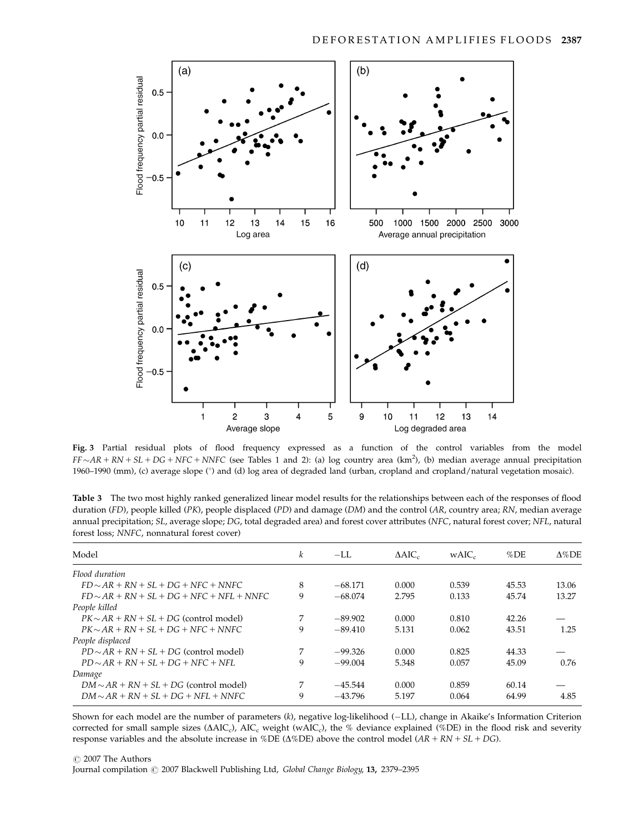

Fig. 3 Partial residual plots of flood frequency expressed as a function of the control variables from the model  $FF \sim AR + RN + SL + DG + NFC + NNFC$  (see Tables 1 and 2): (a) log country area (km<sup>2</sup>), (b) median average annual precipitation 1960–1990 (mm), (c) average slope (°) and (d) log area of degraded land (urban, cropland and cropland/natural vegetation mosaic).

Table 3 The two most highly ranked generalized linear model results for the relationships between each of the responses of flood duration (FD), people killed (PK), people displaced (PD) and damage (DM) and the control (AR, country area; RN, median average annual precipitation; SL, average slope; DG, total degraded area) and forest cover attributes (NFC, natural forest cover; NFL, natural forest loss; NNFC, nonnatural forest cover)

| Model                                          | k | $-LL$     | $\Delta AIC_c$ | $WAIC_c$ | %DE   | $\Lambda\%$ DE |
|------------------------------------------------|---|-----------|----------------|----------|-------|----------------|
| Flood duration                                 |   |           |                |          |       |                |
| $FD \sim AR + RN + SI + DG + NFC + NNFC$       | 8 | $-68.171$ | 0.000          | 0.539    | 45.53 | 13.06          |
| $FD \sim AR + RN + SL + DG + NFC + NFL + NNFC$ | 9 | $-68.074$ | 2.795          | 0.133    | 45.74 | 13.27          |
| People killed                                  |   |           |                |          |       |                |
| $PK \sim AR + RN + SL + DG$ (control model)    |   | $-89.902$ | 0.000          | 0.810    | 42.26 |                |
| $PK \sim AR + RN + SL + DG + NFC + NNFC$       | 9 | $-89.410$ | 5.131          | 0.062    | 43.51 | 1.25           |
| People displaced                               |   |           |                |          |       |                |
| $PD \sim AR + RN + SL + DG$ (control model)    |   | $-99.326$ | 0.000          | 0.825    | 44.33 |                |
| $PD \sim AR + RN + SI + DG + NFC + NFI$        | 9 | $-99,004$ | 5.348          | 0.057    | 45.09 | 0.76           |
| Damage                                         |   |           |                |          |       |                |
| $DM \sim AR + RN + SL + DG$ (control model)    | 7 | $-45.544$ | 0.000          | 0.859    | 60.14 |                |
| $DM \sim AR + RN + SI + DG + NFI + NNFC$       | 9 | $-43.796$ | 5.197          | 0.064    | 64.99 | 4.85           |
|                                                |   |           |                |          |       |                |

Shown for each model are the number of parameters (k), negative log-likelihood (-LL), change in Akaike's Information Criterion corrected for small sample sizes  $(AAIC_c)$ ,  $AIC_c$  weight  $(wAIC_c)$ , the % deviance explained (%DE) in the flood risk and severity response variables and the absolute increase in %DE ( $\Delta$ %DE) above the control model ( $AR + RN + SL + DG$ ).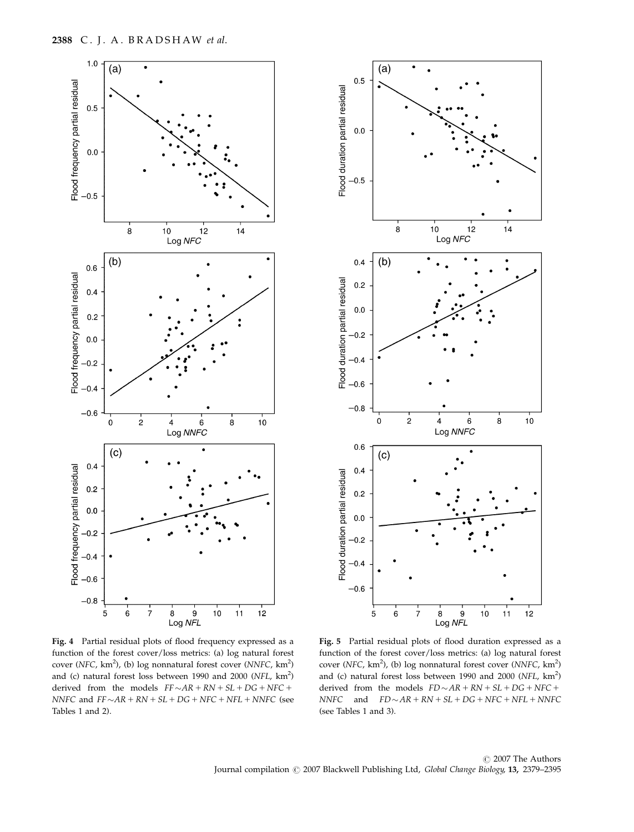



Fig. 4 Partial residual plots of flood frequency expressed as a function of the forest cover/loss metrics: (a) log natural forest cover (NFC, km<sup>2</sup>), (b) log nonnatural forest cover (NNFC, km<sup>2</sup>) and (c) natural forest loss between  $1990$  and  $2000$  (NFL,  $km^2$ ) derived from the models  $FF \sim AR + RN + SL + DG + NFC +$ NNFC and  $FF \sim AR + RN + SL + DG + NFC + NFL + NNFC$  (see Tables 1 and 2).

Fig. 5 Partial residual plots of flood duration expressed as a function of the forest cover/loss metrics: (a) log natural forest cover (NFC, km<sup>2</sup>), (b) log nonnatural forest cover (NNFC, km<sup>2</sup>) and (c) natural forest loss between  $1990$  and  $2000$  (NFL,  $km^2$ ) derived from the models  $FD \sim AR + RN + SL + DG + NFC +$  $NNFC$  and  $FD \sim AR + RN + SL + DG + NFC + NFL + NNFC$ (see Tables 1 and 3).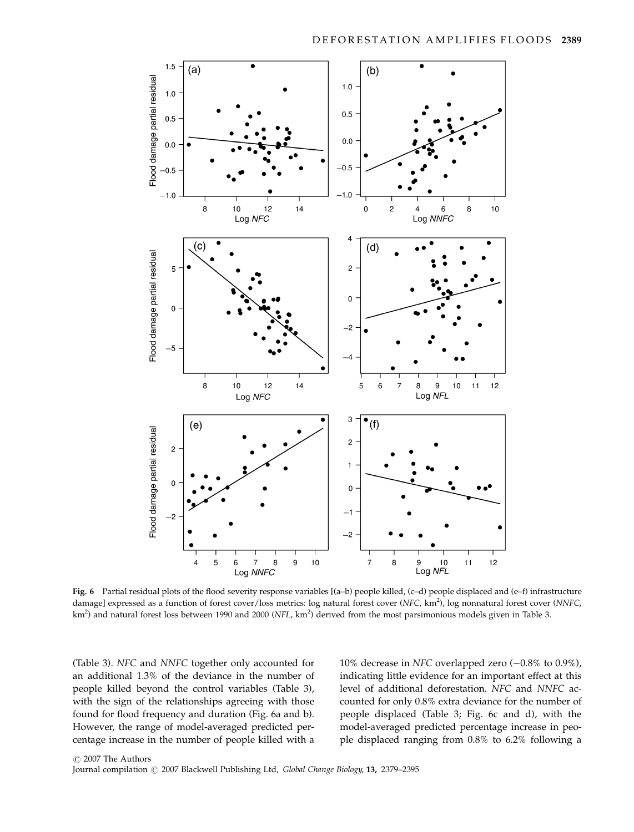

Fig. 6 Partial residual plots of the flood severity response variables [(a–b) people killed, (c–d) people displaced and (e–f) infrastructure damage] expressed as a function of forest cover/loss metrics: log natural forest cover (NFC, km<sup>2</sup>), log nonnatural forest cover (NNFC, km<sup>2</sup>) and natural forest loss between 1990 and 2000 (NFL, km<sup>2</sup>) derived from the most parsimonious models given in Table 3.

(Table 3). NFC and NNFC together only accounted for an additional 1.3% of the deviance in the number of people killed beyond the control variables (Table 3), with the sign of the relationships agreeing with those found for flood frequency and duration (Fig. 6a and b). However, the range of model-averaged predicted percentage increase in the number of people killed with a 10% decrease in NFC overlapped zero  $(-0.8\%$  to 0.9%), indicating little evidence for an important effect at this level of additional deforestation. NFC and NNFC accounted for only 0.8% extra deviance for the number of people displaced (Table 3; Fig. 6c and d), with the model-averaged predicted percentage increase in people displaced ranging from 0.8% to 6.2% following a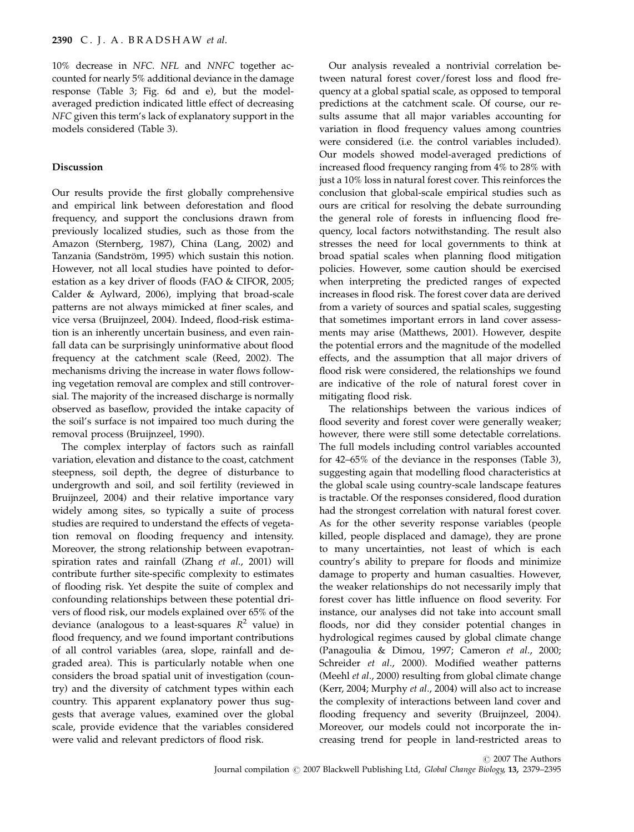10% decrease in NFC. NFL and NNFC together accounted for nearly 5% additional deviance in the damage response (Table 3; Fig. 6d and e), but the modelaveraged prediction indicated little effect of decreasing NFC given this term's lack of explanatory support in the models considered (Table 3).

# Discussion

Our results provide the first globally comprehensive and empirical link between deforestation and flood frequency, and support the conclusions drawn from previously localized studies, such as those from the Amazon (Sternberg, 1987), China (Lang, 2002) and Tanzania (Sandström, 1995) which sustain this notion. However, not all local studies have pointed to deforestation as a key driver of floods (FAO & CIFOR, 2005; Calder & Aylward, 2006), implying that broad-scale patterns are not always mimicked at finer scales, and vice versa (Bruijnzeel, 2004). Indeed, flood-risk estimation is an inherently uncertain business, and even rainfall data can be surprisingly uninformative about flood frequency at the catchment scale (Reed, 2002). The mechanisms driving the increase in water flows following vegetation removal are complex and still controversial. The majority of the increased discharge is normally observed as baseflow, provided the intake capacity of the soil's surface is not impaired too much during the removal process (Bruijnzeel, 1990).

The complex interplay of factors such as rainfall variation, elevation and distance to the coast, catchment steepness, soil depth, the degree of disturbance to undergrowth and soil, and soil fertility (reviewed in Bruijnzeel, 2004) and their relative importance vary widely among sites, so typically a suite of process studies are required to understand the effects of vegetation removal on flooding frequency and intensity. Moreover, the strong relationship between evapotranspiration rates and rainfall (Zhang et al., 2001) will contribute further site-specific complexity to estimates of flooding risk. Yet despite the suite of complex and confounding relationships between these potential drivers of flood risk, our models explained over 65% of the deviance (analogous to a least-squares  $R^2$  value) in flood frequency, and we found important contributions of all control variables (area, slope, rainfall and degraded area). This is particularly notable when one considers the broad spatial unit of investigation (country) and the diversity of catchment types within each country. This apparent explanatory power thus suggests that average values, examined over the global scale, provide evidence that the variables considered were valid and relevant predictors of flood risk.

Our analysis revealed a nontrivial correlation between natural forest cover/forest loss and flood frequency at a global spatial scale, as opposed to temporal predictions at the catchment scale. Of course, our results assume that all major variables accounting for variation in flood frequency values among countries were considered (i.e. the control variables included). Our models showed model-averaged predictions of increased flood frequency ranging from 4% to 28% with just a 10% loss in natural forest cover. This reinforces the conclusion that global-scale empirical studies such as ours are critical for resolving the debate surrounding the general role of forests in influencing flood frequency, local factors notwithstanding. The result also stresses the need for local governments to think at broad spatial scales when planning flood mitigation policies. However, some caution should be exercised when interpreting the predicted ranges of expected increases in flood risk. The forest cover data are derived from a variety of sources and spatial scales, suggesting that sometimes important errors in land cover assessments may arise (Matthews, 2001). However, despite the potential errors and the magnitude of the modelled effects, and the assumption that all major drivers of flood risk were considered, the relationships we found are indicative of the role of natural forest cover in mitigating flood risk.

The relationships between the various indices of flood severity and forest cover were generally weaker; however, there were still some detectable correlations. The full models including control variables accounted for 42–65% of the deviance in the responses (Table 3), suggesting again that modelling flood characteristics at the global scale using country-scale landscape features is tractable. Of the responses considered, flood duration had the strongest correlation with natural forest cover. As for the other severity response variables (people killed, people displaced and damage), they are prone to many uncertainties, not least of which is each country's ability to prepare for floods and minimize damage to property and human casualties. However, the weaker relationships do not necessarily imply that forest cover has little influence on flood severity. For instance, our analyses did not take into account small floods, nor did they consider potential changes in hydrological regimes caused by global climate change (Panagoulia & Dimou, 1997; Cameron et al., 2000; Schreider et al., 2000). Modified weather patterns (Meehl et al., 2000) resulting from global climate change (Kerr, 2004; Murphy et al., 2004) will also act to increase the complexity of interactions between land cover and flooding frequency and severity (Bruijnzeel, 2004). Moreover, our models could not incorporate the increasing trend for people in land-restricted areas to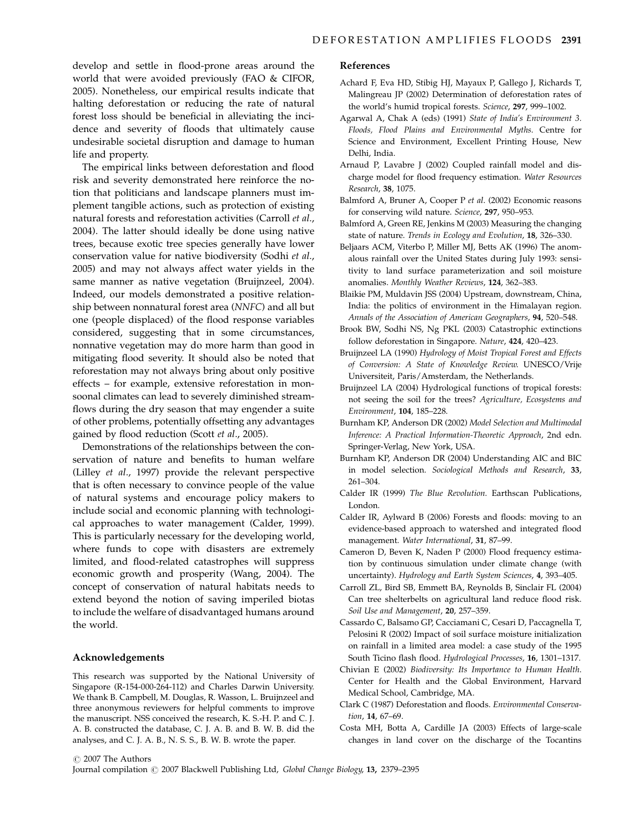develop and settle in flood-prone areas around the world that were avoided previously (FAO & CIFOR, 2005). Nonetheless, our empirical results indicate that halting deforestation or reducing the rate of natural forest loss should be beneficial in alleviating the incidence and severity of floods that ultimately cause undesirable societal disruption and damage to human life and property.

The empirical links between deforestation and flood risk and severity demonstrated here reinforce the notion that politicians and landscape planners must implement tangible actions, such as protection of existing natural forests and reforestation activities (Carroll et al., 2004). The latter should ideally be done using native trees, because exotic tree species generally have lower conservation value for native biodiversity (Sodhi et al., 2005) and may not always affect water yields in the same manner as native vegetation (Bruijnzeel, 2004). Indeed, our models demonstrated a positive relationship between nonnatural forest area (NNFC) and all but one (people displaced) of the flood response variables considered, suggesting that in some circumstances, nonnative vegetation may do more harm than good in mitigating flood severity. It should also be noted that reforestation may not always bring about only positive effects – for example, extensive reforestation in monsoonal climates can lead to severely diminished streamflows during the dry season that may engender a suite of other problems, potentially offsetting any advantages gained by flood reduction (Scott et al., 2005).

Demonstrations of the relationships between the conservation of nature and benefits to human welfare (Lilley et al., 1997) provide the relevant perspective that is often necessary to convince people of the value of natural systems and encourage policy makers to include social and economic planning with technological approaches to water management (Calder, 1999). This is particularly necessary for the developing world, where funds to cope with disasters are extremely limited, and flood-related catastrophes will suppress economic growth and prosperity (Wang, 2004). The concept of conservation of natural habitats needs to extend beyond the notion of saving imperiled biotas to include the welfare of disadvantaged humans around the world.

#### Acknowledgements

This research was supported by the National University of Singapore (R-154-000-264-112) and Charles Darwin University. We thank B. Campbell, M. Douglas, R. Wasson, L. Bruijnzeel and three anonymous reviewers for helpful comments to improve the manuscript. NSS conceived the research, K. S.-H. P. and C. J. A. B. constructed the database, C. J. A. B. and B. W. B. did the analyses, and C. J. A. B., N. S. S., B. W. B. wrote the paper.

#### References

- Achard F, Eva HD, Stibig HJ, Mayaux P, Gallego J, Richards T, Malingreau JP (2002) Determination of deforestation rates of the world's humid tropical forests. Science, 297, 999-1002.
- Agarwal A, Chak A (eds) (1991) State of India's Environment 3. Floods, Flood Plains and Environmental Myths. Centre for Science and Environment, Excellent Printing House, New Delhi, India.
- Arnaud P, Lavabre J (2002) Coupled rainfall model and discharge model for flood frequency estimation. Water Resources Research, 38, 1075.
- Balmford A, Bruner A, Cooper P et al. (2002) Economic reasons for conserving wild nature. Science, 297, 950–953.
- Balmford A, Green RE, Jenkins M (2003) Measuring the changing state of nature. Trends in Ecology and Evolution, 18, 326–330.
- Beljaars ACM, Viterbo P, Miller MJ, Betts AK (1996) The anomalous rainfall over the United States during July 1993: sensitivity to land surface parameterization and soil moisture anomalies. Monthly Weather Reviews, 124, 362–383.
- Blaikie PM, Muldavin JSS (2004) Upstream, downstream, China, India: the politics of environment in the Himalayan region. Annals of the Association of American Geographers, 94, 520–548.
- Brook BW, Sodhi NS, Ng PKL (2003) Catastrophic extinctions follow deforestation in Singapore. Nature, 424, 420–423.
- Bruijnzeel LA (1990) Hydrology of Moist Tropical Forest and Effects of Conversion: A State of Knowledge Review. UNESCO/Vrije Universiteit, Paris/Amsterdam, the Netherlands.
- Bruijnzeel LA (2004) Hydrological functions of tropical forests: not seeing the soil for the trees? Agriculture, Ecosystems and Environment, 104, 185–228.
- Burnham KP, Anderson DR (2002) Model Selection and Multimodal Inference: A Practical Information-Theoretic Approach, 2nd edn. Springer-Verlag, New York, USA.
- Burnham KP, Anderson DR (2004) Understanding AIC and BIC in model selection. Sociological Methods and Research, 33, 261–304.
- Calder IR (1999) The Blue Revolution. Earthscan Publications, London.
- Calder IR, Aylward B (2006) Forests and floods: moving to an evidence-based approach to watershed and integrated flood management. Water International, 31, 87–99.
- Cameron D, Beven K, Naden P (2000) Flood frequency estimation by continuous simulation under climate change (with uncertainty). Hydrology and Earth System Sciences, 4, 393–405.
- Carroll ZL, Bird SB, Emmett BA, Reynolds B, Sinclair FL (2004) Can tree shelterbelts on agricultural land reduce flood risk. Soil Use and Management, 20, 257–359.
- Cassardo C, Balsamo GP, Cacciamani C, Cesari D, Paccagnella T, Pelosini R (2002) Impact of soil surface moisture initialization on rainfall in a limited area model: a case study of the 1995 South Ticino flash flood. Hydrological Processes, 16, 1301–1317.
- Chivian E (2002) Biodiversity: Its Importance to Human Health. Center for Health and the Global Environment, Harvard Medical School, Cambridge, MA.
- Clark C (1987) Deforestation and floods. Environmental Conservation, 14, 67–69.
- Costa MH, Botta A, Cardille JA (2003) Effects of large-scale changes in land cover on the discharge of the Tocantins

 $\odot$  2007 The Authors

Journal compilation  $\odot$  2007 Blackwell Publishing Ltd, Global Change Biology, 13, 2379–2395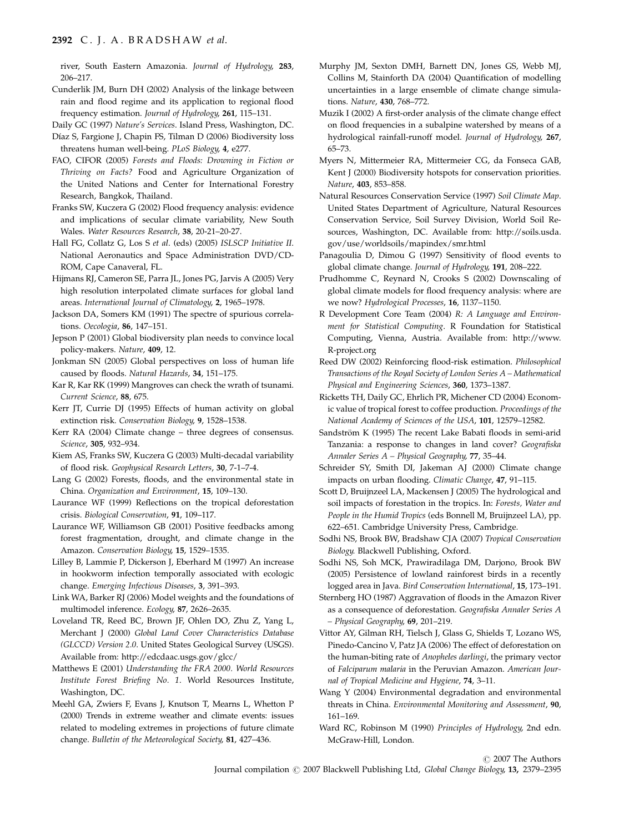river, South Eastern Amazonia. Journal of Hydrology, 283, 206–217.

- Cunderlik JM, Burn DH (2002) Analysis of the linkage between rain and flood regime and its application to regional flood frequency estimation. Journal of Hydrology, 261, 115–131.
- Daily GC (1997) Nature's Services. Island Press, Washington, DC.
- Díaz S, Fargione J, Chapin FS, Tilman D (2006) Biodiversity loss threatens human well-being. PLoS Biology, 4, e277.
- FAO, CIFOR (2005) Forests and Floods: Drowning in Fiction or Thriving on Facts? Food and Agriculture Organization of the United Nations and Center for International Forestry Research, Bangkok, Thailand.
- Franks SW, Kuczera G (2002) Flood frequency analysis: evidence and implications of secular climate variability, New South Wales. Water Resources Research, 38, 20-21–20-27.
- Hall FG, Collatz G, Los S et al. (eds) (2005) ISLSCP Initiative II. National Aeronautics and Space Administration DVD/CD-ROM, Cape Canaveral, FL.
- Hijmans RJ, Cameron SE, Parra JL, Jones PG, Jarvis A (2005) Very high resolution interpolated climate surfaces for global land areas. International Journal of Climatology, 2, 1965–1978.
- Jackson DA, Somers KM (1991) The spectre of spurious correlations. Oecologia, 86, 147–151.
- Jepson P (2001) Global biodiversity plan needs to convince local policy-makers. Nature, 409, 12.
- Jonkman SN (2005) Global perspectives on loss of human life caused by floods. Natural Hazards, 34, 151–175.
- Kar R, Kar RK (1999) Mangroves can check the wrath of tsunami. Current Science, 88, 675.
- Kerr JT, Currie DJ (1995) Effects of human activity on global extinction risk. Conservation Biology, 9, 1528–1538.
- Kerr RA (2004) Climate change three degrees of consensus. Science, 305, 932–934.
- Kiem AS, Franks SW, Kuczera G (2003) Multi-decadal variability of flood risk. Geophysical Research Letters, 30, 7-1–7-4.
- Lang G (2002) Forests, floods, and the environmental state in China. Organization and Environment, 15, 109–130.
- Laurance WF (1999) Reflections on the tropical deforestation crisis. Biological Conservation, 91, 109–117.
- Laurance WF, Williamson GB (2001) Positive feedbacks among forest fragmentation, drought, and climate change in the Amazon. Conservation Biology, 15, 1529–1535.
- Lilley B, Lammie P, Dickerson J, Eberhard M (1997) An increase in hookworm infection temporally associated with ecologic change. Emerging Infectious Diseases, 3, 391–393.
- Link WA, Barker RJ (2006) Model weights and the foundations of multimodel inference. Ecology, 87, 2626–2635.
- Loveland TR, Reed BC, Brown JF, Ohlen DO, Zhu Z, Yang L, Merchant J (2000) Global Land Cover Characteristics Database (GLCCD) Version 2.0. United States Geological Survey (USGS). Available from: http://edcdaac.usgs.gov/glcc/
- Matthews E (2001) Understanding the FRA 2000. World Resources Institute Forest Briefing No. 1. World Resources Institute, Washington, DC.
- Meehl GA, Zwiers F, Evans J, Knutson T, Mearns L, Whetton P (2000) Trends in extreme weather and climate events: issues related to modeling extremes in projections of future climate change. Bulletin of the Meteorological Society, 81, 427–436.
- Murphy JM, Sexton DMH, Barnett DN, Jones GS, Webb MJ, Collins M, Stainforth DA (2004) Quantification of modelling uncertainties in a large ensemble of climate change simulations. Nature, 430, 768–772.
- Muzik I (2002) A first-order analysis of the climate change effect on flood frequencies in a subalpine watershed by means of a hydrological rainfall-runoff model. Journal of Hydrology, 267, 65–73.
- Myers N, Mittermeier RA, Mittermeier CG, da Fonseca GAB, Kent J (2000) Biodiversity hotspots for conservation priorities. Nature, 403, 853–858.
- Natural Resources Conservation Service (1997) Soil Climate Map. United States Department of Agriculture, Natural Resources Conservation Service, Soil Survey Division, World Soil Resources, Washington, DC. Available from: http://soils.usda. gov/use/worldsoils/mapindex/smr.html
- Panagoulia D, Dimou G (1997) Sensitivity of flood events to global climate change. Journal of Hydrology, 191, 208–222.
- Prudhomme C, Reynard N, Crooks S (2002) Downscaling of global climate models for flood frequency analysis: where are we now? Hydrological Processes, 16, 1137–1150.
- R Development Core Team (2004) R: A Language and Environment for Statistical Computing. R Foundation for Statistical Computing, Vienna, Austria. Available from: http://www. R-project.org
- Reed DW (2002) Reinforcing flood-risk estimation. Philosophical Transactions of the Royal Society of London Series A – Mathematical Physical and Engineering Sciences, 360, 1373–1387.
- Ricketts TH, Daily GC, Ehrlich PR, Michener CD (2004) Economic value of tropical forest to coffee production. Proceedings of the National Academy of Sciences of the USA, 101, 12579–12582.
- Sandström K (1995) The recent Lake Babati floods in semi-arid Tanzania: a response to changes in land cover? Geografiska Annaler Series A – Physical Geography, 77, 35–44.
- Schreider SY, Smith DI, Jakeman AJ (2000) Climate change impacts on urban flooding. Climatic Change, 47, 91–115.
- Scott D, Bruijnzeel LA, Mackensen J (2005) The hydrological and soil impacts of forestation in the tropics. In: Forests, Water and People in the Humid Tropics (eds Bonnell M, Bruijnzeel LA), pp. 622–651. Cambridge University Press, Cambridge.
- Sodhi NS, Brook BW, Bradshaw CJA (2007) Tropical Conservation Biology. Blackwell Publishing, Oxford.
- Sodhi NS, Soh MCK, Prawiradilaga DM, Darjono, Brook BW (2005) Persistence of lowland rainforest birds in a recently logged area in Java. Bird Conservation International, 15, 173–191.
- Sternberg HO (1987) Aggravation of floods in the Amazon River as a consequence of deforestation. Geografiska Annaler Series A – Physical Geography, 69, 201–219.
- Vittor AY, Gilman RH, Tielsch J, Glass G, Shields T, Lozano WS, Pinedo-Cancino V, Patz JA (2006) The effect of deforestation on the human-biting rate of Anopheles darlingi, the primary vector of Falciparum malaria in the Peruvian Amazon. American Journal of Tropical Medicine and Hygiene, 74, 3–11.
- Wang Y (2004) Environmental degradation and environmental threats in China. Environmental Monitoring and Assessment, 90, 161–169.
- Ward RC, Robinson M (1990) Principles of Hydrology, 2nd edn. McGraw-Hill, London.

 $\odot$  2007 The Authors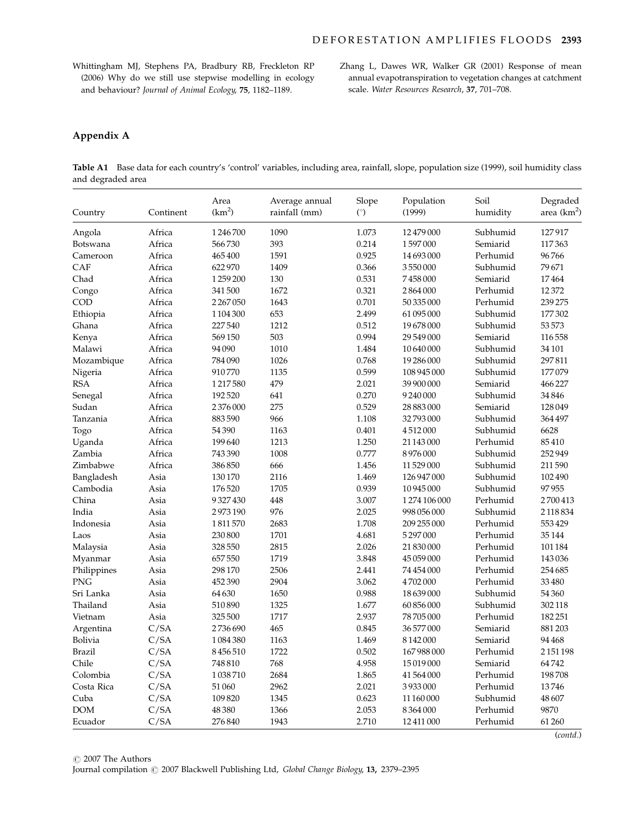Whittingham MJ, Stephens PA, Bradbury RB, Freckleton RP (2006) Why do we still use stepwise modelling in ecology and behaviour? Journal of Animal Ecology, 75, 1182–1189.

Zhang L, Dawes WR, Walker GR (2001) Response of mean annual evapotranspiration to vegetation changes at catchment scale. Water Resources Research, 37, 701–708.

# Appendix A

Table A1 Base data for each country's 'control' variables, including area, rainfall, slope, population size (1999), soil humidity class and degraded area

| Country       | Continent | Area<br>(km <sup>2</sup> ) | Average annual<br>rainfall (mm) | Slope<br>(°) | Population<br>(1999) | Soil<br>humidity | Degraded<br>area $(km^2)$ |
|---------------|-----------|----------------------------|---------------------------------|--------------|----------------------|------------------|---------------------------|
| Angola        | Africa    | 1246700                    | 1090                            | 1.073        | 12479000             | Subhumid         | 127917                    |
| Botswana      | Africa    | 566730                     | 393                             | 0.214        | 1597000              | Semiarid         | 117363                    |
| Cameroon      | Africa    | 465400                     | 1591                            | 0.925        | 14 693 000           | Perhumid         | 96766                     |
| CAF           | Africa    | 622970                     | 1409                            | 0.366        | 3550000              | Subhumid         | 79671                     |
| Chad          | Africa    | 1259200                    | 130                             | 0.531        | 7458000              | Semiarid         | 17464                     |
| Congo         | Africa    | 341500                     | 1672                            | 0.321        | 2864000              | Perhumid         | 12372                     |
| COD           | Africa    | 2267050                    | 1643                            | 0.701        | 50 335 000           | Perhumid         | 239 275                   |
| Ethiopia      | Africa    | 1104300                    | 653                             | 2.499        | 61 095 000           | Subhumid         | 177302                    |
| Ghana         | Africa    | 227540                     | 1212                            | 0.512        | 19678000             | Subhumid         | 53573                     |
| Kenya         | Africa    | 569150                     | 503                             | 0.994        | 29 549 000           | Semiarid         | 116558                    |
| Malawi        | Africa    | 94 0 90                    | 1010                            | 1.484        | 10 640 000           | Subhumid         | 34 101                    |
| Mozambique    | Africa    | 784090                     | 1026                            | 0.768        | 19 28 6 000          | Subhumid         | 297811                    |
| Nigeria       | Africa    | 910770                     | 1135                            | 0.599        | 108 945 000          | Subhumid         | 177079                    |
| <b>RSA</b>    | Africa    | 1217580                    | 479                             | 2.021        | 39 900 000           | Semiarid         | 466227                    |
| Senegal       | Africa    | 192520                     | 641                             | 0.270        | 9 240 000            | Subhumid         | 34846                     |
| Sudan         | Africa    | 2376000                    | 275                             | 0.529        | 28883000             | Semiarid         | 128049                    |
| Tanzania      | Africa    | 883590                     | 966                             | 1.108        | 32793000             | Subhumid         | 364 497                   |
| Togo          | Africa    | 54390                      | 1163                            | 0.401        | 4512000              | Subhumid         | 6628                      |
| Uganda        | Africa    | 199640                     | 1213                            | 1.250        | 21 143 000           | Perhumid         | 85410                     |
| Zambia        | Africa    | 743390                     | 1008                            | 0.777        | 8976000              | Subhumid         | 252949                    |
| Zimbabwe      | Africa    | 386850                     | 666                             | 1.456        | 11 529 000           | Subhumid         | 211590                    |
| Bangladesh    | Asia      | 130 170                    | 2116                            | 1.469        | 126 947 000          | Subhumid         | 102490                    |
| Cambodia      | Asia      | 176520                     | 1705                            | 0.939        | 10945000             | Subhumid         | 97955                     |
| China         | Asia      | 9327430                    | 448                             | 3.007        | 1274 106 000         | Perhumid         | 2700413                   |
| India         | Asia      | 2973190                    | 976                             | 2.025        | 998 056 000          | Subhumid         | 2 118 8 34                |
| Indonesia     | Asia      | 1811570                    | 2683                            | 1.708        | 209 255 000          | Perhumid         | 553429                    |
| Laos          | Asia      | 230 800                    | 1701                            | 4.681        | 5297000              | Perhumid         | 35144                     |
| Malaysia      | Asia      | 328 550                    | 2815                            | 2.026        | 21 830 000           | Perhumid         | 101184                    |
| Myanmar       | Asia      | 657550                     | 1719                            | 3.848        | 45 059 000           | Perhumid         | 143036                    |
| Philippines   | Asia      | 298 170                    | 2506                            | 2.441        | 74 454 000           | Perhumid         | 254 685                   |
| <b>PNG</b>    | Asia      | 452390                     | 2904                            | 3.062        | 4702000              | Perhumid         | 33480                     |
| Sri Lanka     | Asia      | 64630                      | 1650                            | 0.988        | 18639000             | Subhumid         | 54 360                    |
| Thailand      | Asia      | 510890                     | 1325                            | 1.677        | 60856000             | Subhumid         | 302 118                   |
| Vietnam       | Asia      | 325500                     | 1717                            | 2.937        | 78705000             | Perhumid         | 182251                    |
| Argentina     | C/SA      | 2736690                    | 465                             | 0.845        | 36 577 000           | Semiarid         | 881203                    |
| Bolivia       | C/SA      | 1084380                    | 1163                            | 1.469        | 8142000              | Semiarid         | 94468                     |
| <b>Brazil</b> | C/SA      | 8456510                    | 1722                            | 0.502        | 167988000            | Perhumid         | 2151198                   |
| Chile         | C/SA      | 748810                     | 768                             | 4.958        | 15019000             | Semiarid         | 64742                     |
| Colombia      | C/SA      | 1038710                    | 2684                            | 1.865        | 41564000             | Perhumid         | 198708                    |
| Costa Rica    | C/SA      | 51060                      | 2962                            | 2.021        | 3933000              | Perhumid         | 13746                     |
| Cuba          | C/SA      | 109820                     | 1345                            | 0.623        | 11 160 000           | Subhumid         | 48607                     |
| <b>DOM</b>    | C/SA      | 48380                      | 1366                            | 2.053        | 8364000              | Perhumid         | 9870                      |
| Ecuador       | C/SA      | 276840                     | 1943                            | 2.710        | 12411000             | Perhumid         | 61 260                    |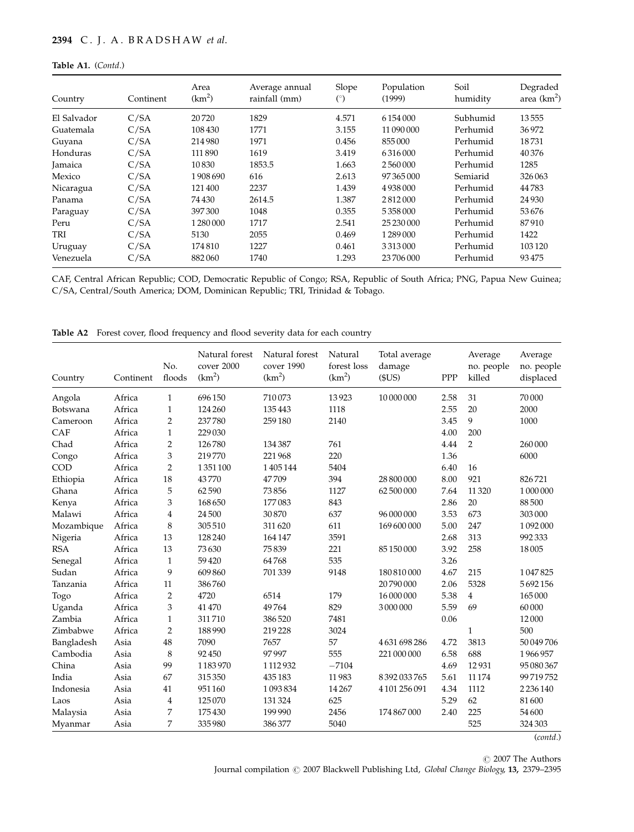## Table A1. (Contd.)

| Country     | Continent | Area<br>(km <sup>2</sup> ) | Average annual<br>rainfall (mm) | Slope<br>$(^\circ)$ | Population<br>(1999) | Soil<br>humidity | Degraded<br>area $(km^2)$ |
|-------------|-----------|----------------------------|---------------------------------|---------------------|----------------------|------------------|---------------------------|
| El Salvador | C/SA      | 20720                      | 1829                            | 4.571               | 6154000              | Subhumid         | 13555                     |
| Guatemala   | C/SA      | 108430                     | 1771                            | 3.155               | 11 090 000           | Perhumid         | 36972                     |
| Guyana      | C/SA      | 214980                     | 1971                            | 0.456               | 855000               | Perhumid         | 18731                     |
| Honduras    | C/SA      | 111 890                    | 1619                            | 3.419               | 6316000              | Perhumid         | 40376                     |
| Jamaica     | C/SA      | 10830                      | 1853.5                          | 1.663               | 2560000              | Perhumid         | 1285                      |
| Mexico      | C/SA      | 1908690                    | 616                             | 2.613               | 97 365 000           | Semiarid         | 326063                    |
| Nicaragua   | C/SA      | 121400                     | 2237                            | 1.439               | 4938000              | Perhumid         | 44783                     |
| Panama      | C/SA      | 74430                      | 2614.5                          | 1.387               | 2812000              | Perhumid         | 24 9 30                   |
| Paraguay    | C/SA      | 397300                     | 1048                            | 0.355               | 5358000              | Perhumid         | 53676                     |
| Peru        | C/SA      | 1 280 000                  | 1717                            | 2.541               | 25 230 000           | Perhumid         | 87910                     |
| TRI         | C/SA      | 5130                       | 2055                            | 0.469               | 1 289 000            | Perhumid         | 1422                      |
| Uruguay     | C/SA      | 174810                     | 1227                            | 0.461               | 3313000              | Perhumid         | 103 120                   |
| Venezuela   | C/SA      | 882060                     | 1740                            | 1.293               | 23706000             | Perhumid         | 93475                     |

CAF, Central African Republic; COD, Democratic Republic of Congo; RSA, Republic of South Africa; PNG, Papua New Guinea; C/SA, Central/South America; DOM, Dominican Republic; TRI, Trinidad & Tobago.

| Country    | Continent | No.<br>floods  | Natural forest<br>cover 2000<br>(km <sup>2</sup> ) | Natural forest<br>cover 1990<br>(km <sup>2</sup> ) | Natural<br>forest loss<br>(km <sup>2</sup> ) | Total average<br>damage<br>(SUS) | PPP  | Average<br>no. people<br>killed | Average<br>no. people<br>displaced |
|------------|-----------|----------------|----------------------------------------------------|----------------------------------------------------|----------------------------------------------|----------------------------------|------|---------------------------------|------------------------------------|
| Angola     | Africa    | $\mathbf{1}$   | 696150                                             | 710073                                             | 13923                                        | 10 000 000                       | 2.58 | 31                              | 70000                              |
| Botswana   | Africa    | $\mathbf{1}$   | 124 260                                            | 135443                                             | 1118                                         |                                  | 2.55 | 20                              | 2000                               |
| Cameroon   | Africa    | $\overline{2}$ | 237780                                             | 259180                                             | 2140                                         |                                  | 3.45 | 9                               | 1000                               |
| CAF        | Africa    | $\mathbf{1}$   | 229 030                                            |                                                    |                                              |                                  | 4.00 | 200                             |                                    |
| Chad       | Africa    | $\overline{2}$ | 126780                                             | 134 387                                            | 761                                          |                                  | 4.44 | $\overline{2}$                  | 260000                             |
| Congo      | Africa    | 3              | 219770                                             | 221968                                             | 220                                          |                                  | 1.36 |                                 | 6000                               |
| COD        | Africa    | $\overline{2}$ | 1351100                                            | 1405144                                            | 5404                                         |                                  | 6.40 | 16                              |                                    |
| Ethiopia   | Africa    | 18             | 43770                                              | 47709                                              | 394                                          | 28 800 000                       | 8.00 | 921                             | 826721                             |
| Ghana      | Africa    | 5              | 62590                                              | 73856                                              | 1127                                         | 62 500 000                       | 7.64 | 11 3 20                         | 1 000 000                          |
| Kenya      | Africa    | 3              | 168650                                             | 177083                                             | 843                                          |                                  | 2.86 | 20                              | 88500                              |
| Malawi     | Africa    | $\overline{4}$ | 24500                                              | 30870                                              | 637                                          | 96 000 000                       | 3.53 | 673                             | 303000                             |
| Mozambique | Africa    | 8              | 305510                                             | 311620                                             | 611                                          | 169 600 000                      | 5.00 | 247                             | 1092000                            |
| Nigeria    | Africa    | 13             | 128 240                                            | 164 147                                            | 3591                                         |                                  | 2.68 | 313                             | 992333                             |
| <b>RSA</b> | Africa    | 13             | 73630                                              | 75839                                              | 221                                          | 85 150 000                       | 3.92 | 258                             | 18005                              |
| Senegal    | Africa    | $\mathbf{1}$   | 59420                                              | 64768                                              | 535                                          |                                  | 3.26 |                                 |                                    |
| Sudan      | Africa    | 9              | 609 860                                            | 701339                                             | 9148                                         | 180 810 000                      | 4.67 | 215                             | 1047825                            |
| Tanzania   | Africa    | 11             | 386760                                             |                                                    |                                              | 20790000                         | 2.06 | 5328                            | 5692156                            |
| Togo       | Africa    | $\overline{2}$ | 4720                                               | 6514                                               | 179                                          | 16 000 000                       | 5.38 | $\overline{4}$                  | 165000                             |
| Uganda     | Africa    | 3              | 41470                                              | 49764                                              | 829                                          | 3 000 000                        | 5.59 | 69                              | 60000                              |
| Zambia     | Africa    | $\mathbf{1}$   | 311710                                             | 386520                                             | 7481                                         |                                  | 0.06 |                                 | 12000                              |
| Zimbabwe   | Africa    | 2              | 188990                                             | 219228                                             | 3024                                         |                                  |      | 1                               | 500                                |
| Bangladesh | Asia      | 48             | 7090                                               | 7657                                               | 57                                           | 4631698286                       | 4.72 | 3813                            | 50 049 706                         |
| Cambodia   | Asia      | 8              | 92450                                              | 97997                                              | 555                                          | 221 000 000                      | 6.58 | 688                             | 1966957                            |
| China      | Asia      | 99             | 1183970                                            | 1112932                                            | $-7104$                                      |                                  | 4.69 | 12931                           | 95 080 367                         |
| India      | Asia      | 67             | 315350                                             | 435183                                             | 11983                                        | 8392033765                       | 5.61 | 11174                           | 99719752                           |
| Indonesia  | Asia      | 41             | 951160                                             | 1093834                                            | 14267                                        | 4101256091                       | 4.34 | 1112                            | 2236140                            |
| Laos       | Asia      | $\overline{4}$ | 125070                                             | 131324                                             | 625                                          |                                  | 5.29 | 62                              | 81600                              |
| Malaysia   | Asia      | 7              | 175430                                             | 199990                                             | 2456                                         | 174 867 000                      | 2.40 | 225                             | 54 600                             |
| Myanmar    | Asia      | 7              | 335980                                             | 386377                                             | 5040                                         |                                  |      | 525                             | 324 303                            |

(contd.)